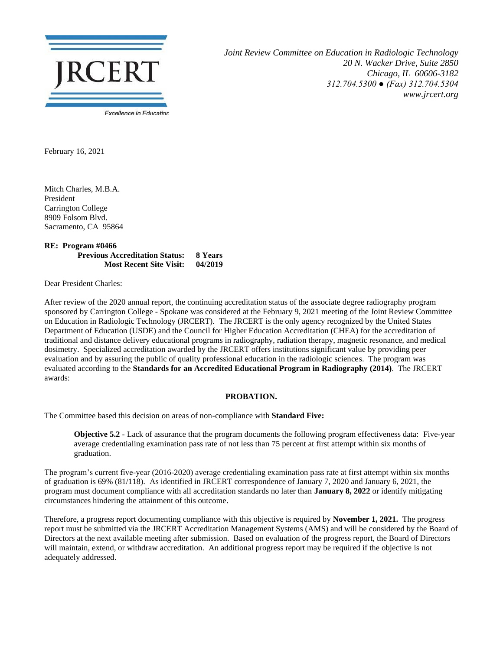

*Joint Review Committee on Education in Radiologic Technology 20 N. Wacker Drive, Suite 2850 Chicago, IL 60606-3182 312.704.5300 ● (Fax) 312.704.5304 www.jrcert.org*

February 16, 2021

Mitch Charles, M.B.A. President Carrington College 8909 Folsom Blvd. Sacramento, CA 95864

**RE: Program #0466 Previous Accreditation Status: 8 Years Most Recent Site Visit: 04/2019**

Dear President Charles:

After review of the 2020 annual report, the continuing accreditation status of the associate degree radiography program sponsored by Carrington College - Spokane was considered at the February 9, 2021 meeting of the Joint Review Committee on Education in Radiologic Technology (JRCERT). The JRCERT is the only agency recognized by the United States Department of Education (USDE) and the Council for Higher Education Accreditation (CHEA) for the accreditation of traditional and distance delivery educational programs in radiography, radiation therapy, magnetic resonance, and medical dosimetry. Specialized accreditation awarded by the JRCERT offers institutions significant value by providing peer evaluation and by assuring the public of quality professional education in the radiologic sciences. The program was evaluated according to the **Standards for an Accredited Educational Program in Radiography (2014)**. The JRCERT awards:

## **PROBATION.**

The Committee based this decision on areas of non-compliance with **Standard Five:**

**Objective 5.2** - Lack of assurance that the program documents the following program effectiveness data: Five-year average credentialing examination pass rate of not less than 75 percent at first attempt within six months of graduation.

The program's current five-year (2016-2020) average credentialing examination pass rate at first attempt within six months of graduation is 69% (81/118). As identified in JRCERT correspondence of January 7, 2020 and January 6, 2021, the program must document compliance with all accreditation standards no later than **January 8, 2022** or identify mitigating circumstances hindering the attainment of this outcome.

Therefore, a progress report documenting compliance with this objective is required by **November 1, 2021.** The progress report must be submitted via the JRCERT Accreditation Management Systems (AMS) and will be considered by the Board of Directors at the next available meeting after submission. Based on evaluation of the progress report, the Board of Directors will maintain, extend, or withdraw accreditation. An additional progress report may be required if the objective is not adequately addressed.